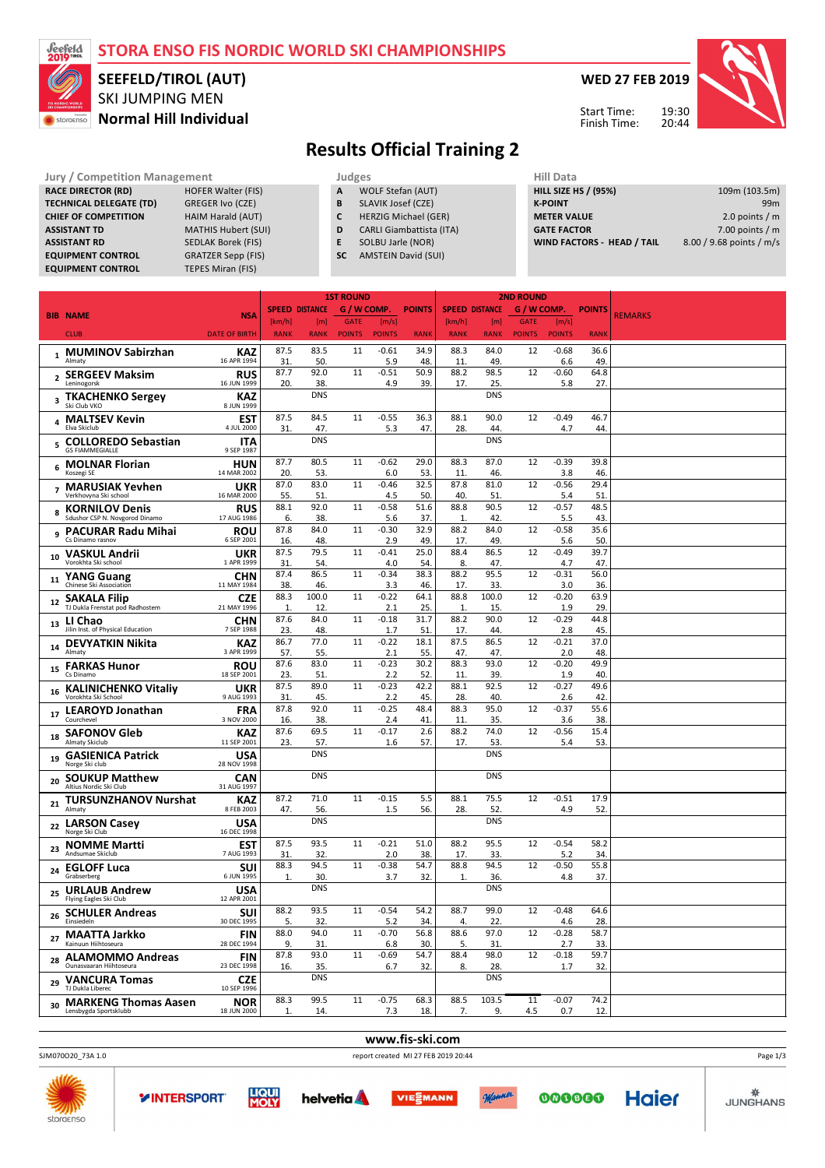### **STORA ENSO FIS NORDIC WORLD SKI CHAMPIONSHIPS**



### SKI JUMPING MEN **Normal Hill Individual SEEFELD/TIROL (AUT)**



20:44



19:30 Start Time: Finish Time:

## **Results Official Training 2**

**RACE DIRECTOR (RD)** HOFER Walter (FISTECHNICAL DELEGATE (TD) GREGER Ivo (CZE) **TECHNICAL DELEGATE (TD) CHIEF OF COMPETITION HAIM Harald (AUT) ASSISTANT TD** MATHIS Hubert (SUI) **ASSISTANT RD** SEDLAK Borek (FIS) **EQUIPMENT CONTROL GRATZER Sepp (FIS)**<br> **EQUIPMENT CONTROL** TEPES Miran (FIS) **EQUIPMENT CONTROL** 

| <b>Jury / Competition Management</b> |                            |   | Judges                          | <b>Hill Data</b>   |
|--------------------------------------|----------------------------|---|---------------------------------|--------------------|
| <b>RACE DIRECTOR (RD)</b>            | <b>HOFER Walter (FIS)</b>  | A | WOLF Stefan (AUT)               | <b>HILL SIZE H</b> |
| <b>TECHNICAL DELEGATE (TD)</b>       | <b>GREGER Ivo (CZE)</b>    |   | SLAVIK Josef (CZE)              | <b>K-POINT</b>     |
| <b>CHIEF OF COMPETITION</b>          | <b>HAIM Harald (AUT)</b>   |   | <b>HERZIG Michael (GER)</b>     | <b>METER VA</b>    |
| <b>ASSISTANT TD</b>                  | <b>MATHIS Hubert (SUI)</b> | D | <b>CARLI Giambattista (ITA)</b> | <b>GATE FACT</b>   |

**E** SOLBU Jarle (NOR) **SC** AMSTEIN David (SUI)



|                                                              |                           | <b>1ST ROUND</b>                |              |                            |                |               | <b>2ND ROUND</b>                |              |                            |                |               |                |
|--------------------------------------------------------------|---------------------------|---------------------------------|--------------|----------------------------|----------------|---------------|---------------------------------|--------------|----------------------------|----------------|---------------|----------------|
| <b>BIB NAME</b>                                              | <b>NSA</b>                | <b>SPEED DISTANCE</b><br>[km/h] | [m]          | G / W COMP.<br><b>GATE</b> | [m/s]          | <b>POINTS</b> | <b>SPEED DISTANCE</b><br>[km/h] | [m]          | G / W COMP.<br><b>GATE</b> | [m/s]          | <b>POINTS</b> | <b>REMARKS</b> |
| <b>CLUB</b>                                                  | <b>DATE OF BIRTH</b>      | <b>RANK</b>                     | <b>RANK</b>  | <b>POINTS</b>              | <b>POINTS</b>  | <b>RANK</b>   | <b>RANK</b>                     | <b>RANK</b>  | <b>POINTS</b>              | <b>POINTS</b>  | <b>RANK</b>   |                |
| 1 MUMINOV Sabirzhan<br>Almaty                                | <b>KAZ</b><br>16 APR 1994 | 87.5<br>31.                     | 83.5<br>50.  | 11                         | -0.61<br>5.9   | 34.9<br>48.   | 88.3<br>11.                     | 84.0<br>49.  | 12                         | $-0.68$<br>6.6 | 36.6<br>49.   |                |
| 2 SERGEEV Maksim<br>Leninogorsk                              | <b>RUS</b><br>16 JUN 1999 | 87.7<br>20.                     | 92.0<br>38.  | 11                         | $-0.51$<br>4.9 | 50.9<br>39.   | 88.2<br>17.                     | 98.5<br>25.  | 12                         | $-0.60$<br>5.8 | 64.8<br>27.   |                |
| <b>TKACHENKO Sergey</b><br>3<br>Ski Club VKO                 | KAZ<br>8 JUN 1999         |                                 | <b>DNS</b>   |                            |                |               |                                 | <b>DNS</b>   |                            |                |               |                |
| <b>MALTSEV Kevin</b><br>Elva Skiclub                         | EST<br>4 JUL 2000         | 87.5<br>31.                     | 84.5<br>47.  | 11                         | $-0.55$<br>5.3 | 36.3<br>47.   | 88.1<br>28.                     | 90.0<br>44.  | 12                         | $-0.49$<br>4.7 | 46.7<br>44.   |                |
| <b>COLLOREDO Sebastian</b><br>5<br><b>GS FIAMMEGIALLE</b>    | <b>ITA</b><br>9 SEP 1987  |                                 | <b>DNS</b>   |                            |                |               |                                 | <b>DNS</b>   |                            |                |               |                |
| <b>MOLNAR Florian</b><br>6<br>Koszegi SE                     | <b>HUN</b><br>14 MAR 2002 | 87.7<br>20.                     | 80.5<br>53.  | 11                         | $-0.62$<br>6.0 | 29.0<br>53.   | 88.3<br>11.                     | 87.0<br>46.  | 12                         | $-0.39$<br>3.8 | 39.8<br>46.   |                |
| 7 MARUSIAK Yevhen<br>Verkhovyna Ski school                   | <b>UKR</b><br>16 MAR 2000 | 87.0<br>55.                     | 83.0<br>51.  | 11                         | $-0.46$<br>4.5 | 32.5<br>50.   | 87.8<br>40.                     | 81.0<br>51.  | 12                         | $-0.56$<br>5.4 | 29.4<br>51    |                |
| <b>KORNILOV Denis</b><br>8<br>Sdushor CSP N. Novgorod Dinamo | <b>RUS</b><br>17 AUG 1986 | 88.1<br>6.                      | 92.0<br>38.  | 11                         | $-0.58$<br>5.6 | 51.6<br>37.   | 88.8<br>1.                      | 90.5<br>42.  | 12                         | $-0.57$<br>5.5 | 48.5<br>43.   |                |
| <b>PACURAR Radu Mihai</b><br>9<br>Cs Dinamo rasnov           | ROU<br>6 SEP 2001         | 87.8<br>16.                     | 84.0<br>48.  | 11                         | $-0.30$<br>2.9 | 32.9<br>49.   | 88.2<br>17.                     | 84.0<br>49.  | 12                         | $-0.58$<br>5.6 | 35.6<br>50.   |                |
| <b>VASKUL Andrii</b><br>10<br>Vorokhta Ski school            | <b>UKR</b><br>1 APR 1999  | 87.5<br>31                      | 79.5<br>54.  | 11                         | $-0.41$<br>4.0 | 25.0<br>54    | 88.4<br>8.                      | 86.5<br>47.  | 12                         | $-0.49$<br>4.7 | 39.7<br>47.   |                |
| <b>YANG Guang</b><br>11<br>Chinese Ski Association           | <b>CHN</b><br>11 MAY 1984 | 87.4<br>38.                     | 86.5<br>46.  | 11                         | $-0.34$<br>3.3 | 38.3<br>46.   | 88.2<br>17.                     | 95.5<br>33.  | 12                         | $-0.31$<br>3.0 | 56.0<br>36.   |                |
| <b>SAKALA Filip</b><br>12<br>TJ Dukla Frenstat pod Radhostem | <b>CZE</b><br>21 MAY 1996 | 88.3<br>1.                      | 100.0<br>12. | 11                         | $-0.22$<br>2.1 | 64.1<br>25.   | 88.8<br>1.                      | 100.0<br>15. | 12                         | $-0.20$<br>1.9 | 63.9<br>29.   |                |
| LI Chao<br>13<br>Jilin Inst. of Physical Education           | <b>CHN</b><br>7 SEP 1988  | 87.6<br>23.                     | 84.0<br>48.  | 11                         | $-0.18$<br>1.7 | 31.7<br>51    | 88.2<br>17.                     | 90.0<br>44.  | 12                         | $-0.29$<br>2.8 | 44.8<br>45.   |                |
| <b>DEVYATKIN Nikita</b><br>14<br>Almaty                      | <b>KAZ</b><br>3 APR 1999  | 86.7<br>57.                     | 77.0<br>55.  | 11                         | $-0.22$<br>2.1 | 18.1<br>55.   | 87.5<br>47.                     | 86.5<br>47.  | 12                         | $-0.21$<br>2.0 | 37.0<br>48.   |                |
| <b>FARKAS Hunor</b><br>15<br>Cs Dinamo                       | <b>ROU</b><br>18 SEP 2001 | 87.6<br>23.                     | 83.0<br>51.  | 11                         | $-0.23$<br>2.2 | 30.2<br>52.   | 88.3<br>11.                     | 93.0<br>39.  | 12                         | $-0.20$<br>1.9 | 49.9<br>40.   |                |
| <b>KALINICHENKO Vitaliy</b><br>16<br>Vorokhta Ski School     | <b>UKR</b><br>9 AUG 1993  | 87.5<br>31                      | 89.0<br>45.  | 11                         | $-0.23$<br>2.2 | 42.2<br>45.   | 88.1<br>28.                     | 92.5<br>40.  | 12                         | $-0.27$<br>2.6 | 49.6<br>42.   |                |
| <b>LEAROYD Jonathan</b><br>17<br>Courchevel                  | <b>FRA</b><br>3 NOV 2000  | 87.8<br>16.                     | 92.0<br>38.  | 11                         | $-0.25$<br>2.4 | 48.4<br>41    | 88.3<br>11.                     | 95.0<br>35.  | 12                         | $-0.37$<br>3.6 | 55.6<br>38.   |                |
| <b>SAFONOV Gleb</b><br>18<br><b>Almaty Skiclub</b>           | <b>KAZ</b><br>11 SEP 2001 | 87.6<br>23.                     | 69.5<br>57.  | 11                         | $-0.17$<br>1.6 | 2.6<br>57.    | 88.2<br>17.                     | 74.0<br>53.  | 12                         | $-0.56$<br>5.4 | 15.4<br>53.   |                |
| <b>GASIENICA Patrick</b><br>19<br>Norge Ski club             | USA<br>28 NOV 1998        |                                 | <b>DNS</b>   |                            |                |               |                                 | <b>DNS</b>   |                            |                |               |                |
| <b>SOUKUP Matthew</b><br>20<br>Altius Nordic Ski Club        | <b>CAN</b><br>31 AUG 1997 |                                 | <b>DNS</b>   |                            |                |               |                                 | <b>DNS</b>   |                            |                |               |                |
| <b>TURSUNZHANOV Nurshat</b><br>21<br>Almaty                  | KAZ<br>8 FEB 2003         | 87.2<br>47.                     | 71.0<br>56.  | 11                         | $-0.15$<br>1.5 | 5.5<br>56.    | 88.1<br>28.                     | 75.5<br>52.  | 12                         | $-0.51$<br>4.9 | 17.9<br>52.   |                |
| <b>LARSON Casey</b><br>22<br>Norge Ski Club                  | USA<br>16 DEC 1998        |                                 | <b>DNS</b>   |                            |                |               |                                 | <b>DNS</b>   |                            |                |               |                |
| <b>NOMME Martti</b><br>23<br>Andsumae Skiclub                | EST<br>7 AUG 1993         | 87.5<br>31                      | 93.5<br>32.  | 11                         | $-0.21$<br>2.0 | 51.0<br>38.   | 88.2<br>17.                     | 95.5<br>33.  | 12                         | $-0.54$<br>5.2 | 58.2<br>34.   |                |
| <b>EGLOFF Luca</b><br>24<br>Grabserberg                      | SUI<br>6 JUN 1995         | 88.3<br>1.                      | 94.5<br>30.  | 11                         | $-0.38$<br>3.7 | 54.7<br>32.   | 88.8<br>1.                      | 94.5<br>36.  | 12                         | $-0.50$<br>4.8 | 55.8<br>37.   |                |
| <b>URLAUB Andrew</b><br>25<br>Flying Eagles Ski Club         | USA<br>12 APR 2001        |                                 | <b>DNS</b>   |                            |                |               |                                 | <b>DNS</b>   |                            |                |               |                |
| <b>SCHULER Andreas</b><br>26<br>Einsiedeln                   | SUI<br>30 DEC 1995        | 88.2<br>5.                      | 93.5<br>32.  | 11                         | $-0.54$<br>5.2 | 54.2<br>34.   | 88.7<br>4.                      | 99.0<br>22.  |                            | $-0.48$<br>4.6 | 64.6<br>28.   |                |
| 27 MAATTA Jarkko<br>Kainuun Hiihtoseura                      | <b>FIN</b><br>28 DEC 1994 | 88.0<br>9.                      | 94.0<br>31.  | 11                         | $-0.70$<br>6.8 | 56.8<br>30.   | 88.6<br>5.                      | 97.0<br>31.  | 12                         | $-0.28$<br>2.7 | 58.7<br>33.   |                |
| <b>ALAMOMMO Andreas</b><br>28<br>Ounasyaaran Hiihtoseura     | <b>FIN</b><br>23 DEC 1998 | 87.8<br>16.                     | 93.0<br>35.  | 11                         | $-0.69$<br>6.7 | 54.7<br>32.   | 88.4<br>8.                      | 98.0<br>28.  | 12                         | $-0.18$<br>1.7 | 59.7<br>32.   |                |
| <b>VANCURA Tomas</b><br>29<br>TJ Dukla Liberec               | <b>CZE</b><br>10 SEP 1996 |                                 | <b>DNS</b>   |                            |                |               |                                 | <b>DNS</b>   |                            |                |               |                |
| 30 MARKENG Thomas Aasen<br>Lensbygda Sportsklubb             | <b>NOR</b><br>18 JUN 2000 | 88.3<br>1.                      | 99.5<br>14.  | 11                         | $-0.75$<br>7.3 | 68.3<br>18.   | 88.5<br>7.                      | 103.5<br>9.  | 11<br>4.5                  | $-0.07$<br>0.7 | 74.2<br>12.   |                |

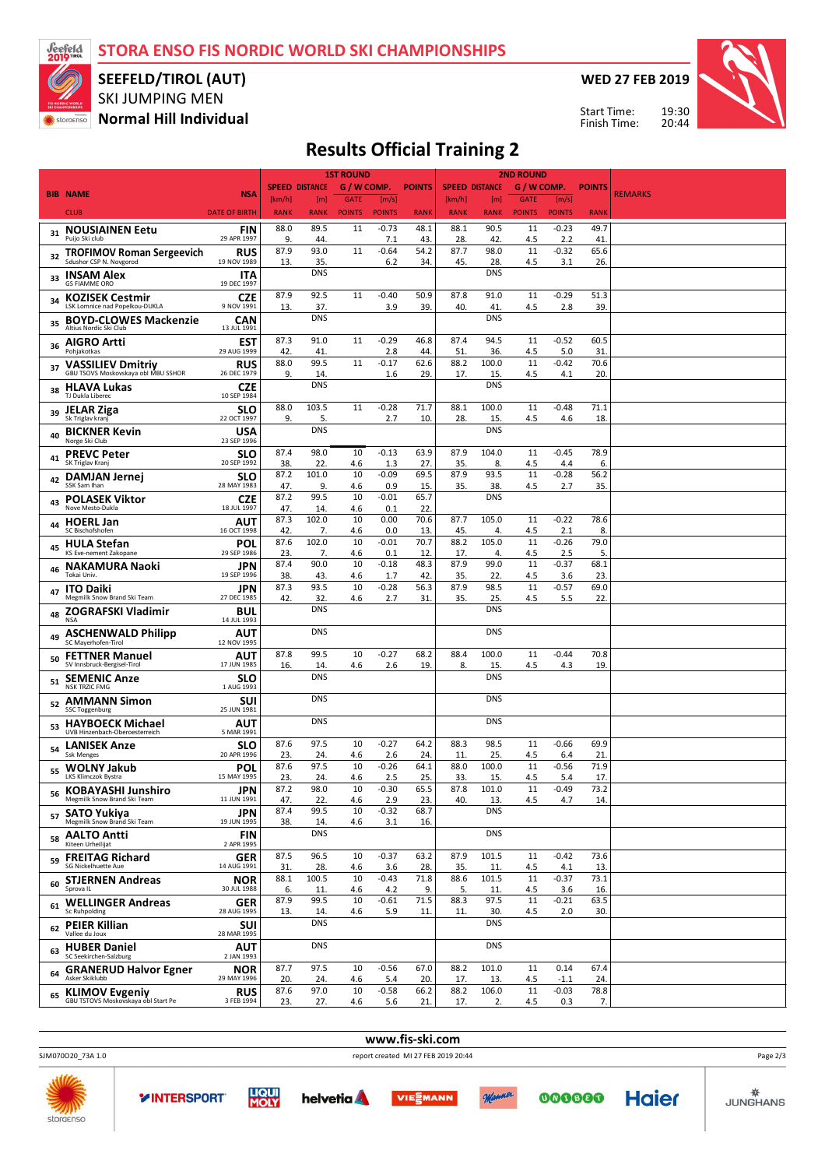

## SKI JUMPING MEN **SEEFELD/TIROL (AUT)**

**Normal Hill Individual**

**WED 27 FEB 2019**



Start Time: Finish Time:

# **Results Official Training 2**

|    |                                                                     |                           | <b>1ST ROUND</b>      |                    |                              |                        |               | <b>2ND ROUND</b>      |                       |                              |                        |               |                |
|----|---------------------------------------------------------------------|---------------------------|-----------------------|--------------------|------------------------------|------------------------|---------------|-----------------------|-----------------------|------------------------------|------------------------|---------------|----------------|
|    | <b>BIB NAME</b>                                                     | <b>NSA</b>                | <b>SPEED DISTANCE</b> |                    | G / W COMP.                  |                        | <b>POINTS</b> |                       | <b>SPEED DISTANCE</b> | G / W COMP.                  |                        | <b>POINTS</b> | <b>REMARKS</b> |
|    | <b>CLUB</b>                                                         | <b>DATE OF BIRTH</b>      | [km/h]<br><b>RANK</b> | [m]<br><b>RANK</b> | <b>GATE</b><br><b>POINTS</b> | [m/s]<br><b>POINTS</b> | <b>RANK</b>   | [km/h]<br><b>RANK</b> | [m]<br><b>RANK</b>    | <b>GATE</b><br><b>POINTS</b> | [m/s]<br><b>POINTS</b> | <b>RANK</b>   |                |
| 31 | <b>NOUSIAINEN Eetu</b>                                              | FIN                       | 88.0                  | 89.5               | 11                           | $-0.73$                | 48.1          | 88.1                  | 90.5                  | 11                           | $-0.23$                | 49.7          |                |
|    | Puijo Ski club<br><b>TROFIMOV Roman Sergeevich</b>                  | 29 APR 1997<br><b>RUS</b> | 9.<br>87.9            | 44.<br>93.0        | 11                           | 7.1<br>$-0.64$         | 43.<br>54.2   | 28.<br>87.7           | 42<br>98.0            | 4.5<br>11                    | 2.2<br>$-0.32$         | 41<br>65.6    |                |
|    | Sdushor CSP N. Novgorod                                             | 19 NOV 1989               | 13.                   | 35.<br><b>DNS</b>  |                              | 6.2                    | 34.           | 45.                   | 28.<br><b>DNS</b>     | 4.5                          | 3.1                    | 26.           |                |
| 33 | <b>INSAM Alex</b><br><b>GS FIAMME ORO</b>                           | ITA<br>19 DEC 1997        |                       |                    |                              |                        |               |                       |                       |                              |                        |               |                |
| 34 | <b>KOZISEK Cestmir</b><br>LSK Lomnice nad Popelkou-DUKLA            | CZE<br>9 NOV 1991         | 87.9<br>13.           | 92.5<br>37.        | 11                           | $-0.40$<br>3.9         | 50.9<br>39.   | 87.8<br>40.           | 91.0<br>41            | 11<br>4.5                    | $-0.29$<br>2.8         | 51.3<br>39.   |                |
| 35 | <b>BOYD-CLOWES Mackenzie</b><br>Altius Nordic Ski Club              | <b>CAN</b><br>13 JUL 1991 |                       | <b>DNS</b>         |                              |                        |               |                       | <b>DNS</b>            |                              |                        |               |                |
| 36 | <b>AIGRO Artti</b><br>Pohjakotkas                                   | <b>EST</b><br>29 AUG 1999 | 87.3<br>42.           | 91.0<br>41         | 11                           | $-0.29$<br>2.8         | 46.8<br>44    | 87.4<br>51            | 94.5<br>36.           | 11<br>4.5                    | $-0.52$<br>5.0         | 60.5<br>31    |                |
| 37 | <b>VASSILIEV Dmitriv</b><br>GBU TSOVS Moskovskaya obl MBU SSHOR     | <b>RUS</b><br>26 DEC 1979 | 88.0<br>9.            | 99.5<br>14         | 11                           | $-0.17$<br>1.6         | 62.6<br>29.   | 88.2<br>17.           | 100.0<br>15.          | 11<br>4.5                    | $-0.42$<br>4.1         | 70.6<br>20.   |                |
| 38 | <b>HLAVA Lukas</b><br>TJ Dukla Liberec                              | <b>CZE</b><br>10 SEP 1984 |                       | <b>DNS</b>         |                              |                        |               |                       | <b>DNS</b>            |                              |                        |               |                |
| 39 | <b>JELAR Ziga</b><br>Sk Triglav kranj                               | <b>SLO</b><br>22 OCT 1997 | 88.0<br>9.            | 103.5<br>5.        | 11                           | $-0.28$<br>2.7         | 71.7<br>10.   | 88.1<br>28.           | 100.0<br>15           | 11<br>4.5                    | $-0.48$<br>4.6         | 71.1<br>18    |                |
| 40 | <b>BICKNER Kevin</b><br>Norge Ski Club                              | USA<br>23 SEP 1996        |                       | <b>DNS</b>         |                              |                        |               |                       | <b>DNS</b>            |                              |                        |               |                |
| 41 | <b>PREVC Peter</b>                                                  | <b>SLO</b>                | 87.4                  | 98.0               | 10                           | $-0.13$                | 63.9          | 87.9                  | 104.0                 | 11                           | $-0.45$                | 78.9          |                |
| 42 | SK Triglav Kranj<br><b>DAMJAN Jernej</b>                            | 20 SEP 1992<br><b>SLO</b> | 38.<br>87.2           | 22.<br>101.0       | 4.6<br>10                    | 1.3<br>$-0.09$         | 27.<br>69.5   | 35.<br>87.9           | 8.<br>93.5            | 4.5<br>11                    | 4.4<br>$-0.28$         | 6.<br>56.2    |                |
| 43 | SSK Sam Ihan<br><b>POLASEK Viktor</b>                               | 28 MAY 1983<br><b>CZE</b> | 47.<br>87.2           | 9.<br>99.5         | 4.6<br>10                    | 0.9<br>$-0.01$         | 15.<br>65.7   | 35.                   | 38.<br><b>DNS</b>     | 4.5                          | 2.7                    | 35            |                |
|    | Nove Mesto-Dukla<br><b>HOERL Jan</b>                                | 18 JUL 1997<br>AUT        | 47.<br>87.3           | 14<br>102.0        | 4.6<br>10                    | 0.1<br>0.00            | 22<br>70.6    | 87.7                  | 105.0                 | 11                           | $-0.22$                | 78.6          |                |
| 44 | SC Bischofshofen<br><b>HULA Stefan</b>                              | 16 OCT 1998<br>POL        | 42.<br>87.6           | 7.<br>102.0        | 4.6<br>10                    | 0.0<br>$-0.01$         | 13.<br>70.7   | 45.<br>88.2           | 4.<br>105.0           | 4.5<br>11                    | 2.1<br>$-0.26$         | 8<br>79.0     |                |
| 45 | KS Eve-nement Zakopane                                              | 29 SEP 1986               | 23<br>87.4            | 7.<br>90.0         | 4.6<br>10                    | 0.1<br>$-0.18$         | 12<br>48.3    | 17.<br>87.9           | 4.<br>99.0            | 4.5<br>11                    | 2.5<br>$-0.37$         | 5.<br>68.1    |                |
| 46 | <b>NAKAMURA Naoki</b><br>Tokai Univ.                                | JPN<br>19 SEP 1996        | 38.                   | 43.                | 4.6                          | 1.7                    | 42            | 35.                   | 22.                   | 4.5                          | 3.6                    | 23            |                |
| 47 | <b>ITO Daiki</b><br>Megmilk Snow Brand Ski Team                     | JPN<br>27 DEC 1985        | 87.3<br>42.           | 93.5<br>32.        | 10<br>4.6                    | $-0.28$<br>2.7         | 56.3<br>31    | 87.9<br>35.           | 98.5<br>25.           | 11<br>4.5                    | $-0.57$<br>5.5         | 69.0<br>22.   |                |
| 48 | <b>ZOGRAFSKI Vladimir</b><br><b>NSA</b>                             | BUL<br>14 JUL 1993        |                       | <b>DNS</b>         |                              |                        |               |                       | <b>DNS</b>            |                              |                        |               |                |
| 49 | <b>ASCHENWALD Philipp</b><br>SC Mayerhofen-Tirol                    | AUT<br>12 NOV 1995        |                       | <b>DNS</b>         |                              |                        |               |                       | <b>DNS</b>            |                              |                        |               |                |
| 50 | <b>FETTNER Manuel</b><br>SV Innsbruck-Bergisel-Tirol                | AUT<br>17 JUN 1985        | 87.8<br>16.           | 99.5<br>14.        | 10<br>4.6                    | $-0.27$<br>2.6         | 68.2<br>19.   | 88.4<br>8.            | 100.0<br>15.          | 11<br>4.5                    | $-0.44$<br>4.3         | 70.8<br>19.   |                |
| 51 | <b>SEMENIC Anze</b><br><b>NSK TRZIC FMG</b>                         | <b>SLO</b><br>1 AUG 1993  |                       | <b>DNS</b>         |                              |                        |               |                       | <b>DNS</b>            |                              |                        |               |                |
| 52 | <b>AMMANN Simon</b><br><b>SSC Toggenburg</b>                        | <b>SUI</b><br>25 JUN 1981 |                       | <b>DNS</b>         |                              |                        |               |                       | <b>DNS</b>            |                              |                        |               |                |
| 53 | <b>HAYBOECK Michael</b><br>UVB Hinzenbach-Oberoesterreich           | AUT<br>5 MAR 1991         |                       | <b>DNS</b>         |                              |                        |               |                       | <b>DNS</b>            |                              |                        |               |                |
| 54 | <b>LANISEK Anze</b><br><b>Ssk Menges</b>                            | <b>SLO</b><br>20 APR 1996 | 87.6<br>23            | 97.5<br>24.        | 10<br>4.6                    | $-0.27$<br>2.6         | 64.2<br>24.   | 88.3<br>11            | 98.5<br>25            | 11<br>4.5                    | $-0.66$<br>6.4         | 69.9<br>21.   |                |
| 55 | <b>WOLNY Jakub</b><br>LKS Klimczok Bystra                           | POL<br>15 MAY 1995        | 87.6<br>23.           | 97.5<br>24.        | 10<br>4.6                    | $-0.26$<br>2.5         | 64.1<br>25.   | 88.0<br>33.           | 100.0<br>15.          | 11<br>4.5                    | $-0.56$<br>5.4         | 71.9<br>17.   |                |
| 56 | <b>KOBAYASHI Junshiro</b><br>Megmilk Snow Brand Ski Team            | <b>JPN</b><br>11 JUN 1991 | 87.2<br>47.           | 98.0<br>22.        | 10<br>4.6                    | $-0.30$<br>2.9         | 65.5<br>23.   | 87.8<br>40.           | 101.0<br>13.          | 11<br>4.5                    | $-0.49$<br>4.7         | 73.2<br>14.   |                |
| 57 | <b>SATO Yukiva</b><br>Megmilk Snow Brand Ski Team                   | <b>JPN</b><br>19 JUN 1995 | 87.4                  | 99.5               | 10                           | $-0.32$                | 68.7          |                       | <b>DNS</b>            |                              |                        |               |                |
| 58 | <b>AALTO Antti</b>                                                  | <b>FIN</b>                | 38.                   | 14.<br><b>DNS</b>  | 4.6                          | 3.1                    | 16.           |                       | <b>DNS</b>            |                              |                        |               |                |
| 59 | Kiteen Urheilijat<br><b>FREITAG Richard</b>                         | 2 APR 1995<br><b>GER</b>  | 87.5                  | 96.5               | 10                           | $-0.37$                | 63.2          | 87.9                  | 101.5                 | 11                           | $-0.42$                | 73.6          |                |
| 60 | SG Nickelhuette Aue<br><b>STJERNEN Andreas</b>                      | 14 AUG 1991<br><b>NOR</b> | 31.<br>88.1           | 28.<br>100.5       | 4.6<br>10                    | 3.6<br>$-0.43$         | 28.<br>71.8   | 35.<br>88.6           | 11.<br>101.5          | 4.5<br>11                    | 4.1<br>$-0.37$         | 13.<br>73.1   |                |
| 61 | Sprova IL<br><b>WELLINGER Andreas</b>                               | 30 JUL 1988<br>GER        | 6.<br>87.9            | 11.<br>99.5        | 4.6<br>10                    | 4.2<br>$-0.61$         | 9.<br>71.5    | 5.<br>88.3            | 11.<br>97.5           | 4.5<br>11                    | 3.6<br>$-0.21$         | 16.<br>63.5   |                |
|    | Sc Ruhpolding<br><b>PEIER Killian</b>                               | 28 AUG 1995<br><b>SUI</b> | 13.                   | 14.<br><b>DNS</b>  | 4.6                          | 5.9                    | 11.           | 11.                   | 30.<br><b>DNS</b>     | 4.5                          | 2.0                    | 30.           |                |
| 62 | Vallee du Joux<br><b>HUBER Daniel</b>                               | 28 MAR 1995<br><b>AUT</b> |                       | <b>DNS</b>         |                              |                        |               |                       | <b>DNS</b>            |                              |                        |               |                |
| 63 | SC Seekirchen-Salzburg                                              | 2 JAN 1993                | 87.7                  | 97.5               | 10                           | $-0.56$                | 67.0          | 88.2                  | 101.0                 | 11                           | 0.14                   | 67.4          |                |
| 64 | <b>GRANERUD Halvor Egner</b><br>Asker Skiklubb                      | <b>NOR</b><br>29 MAY 1996 | 20.                   | 24.                | 4.6                          | 5.4                    | 20.           | 17.                   | 13.                   | 4.5                          | $-1.1$                 | 24.           |                |
|    | <sub>65</sub> KLIMOV Evgeniy<br>GBU TSTOVS Moskovskaya obl Start Pe | <b>RUS</b><br>3 FEB 1994  | 87.6<br>23.           | 97.0<br>27.        | 10<br>4.6                    | $-0.58$<br>5.6         | 66.2<br>21.   | 88.2<br>17.           | 106.0<br>2.           | 11<br>4.5                    | $-0.03$<br>0.3         | 78.8<br>7.    |                |